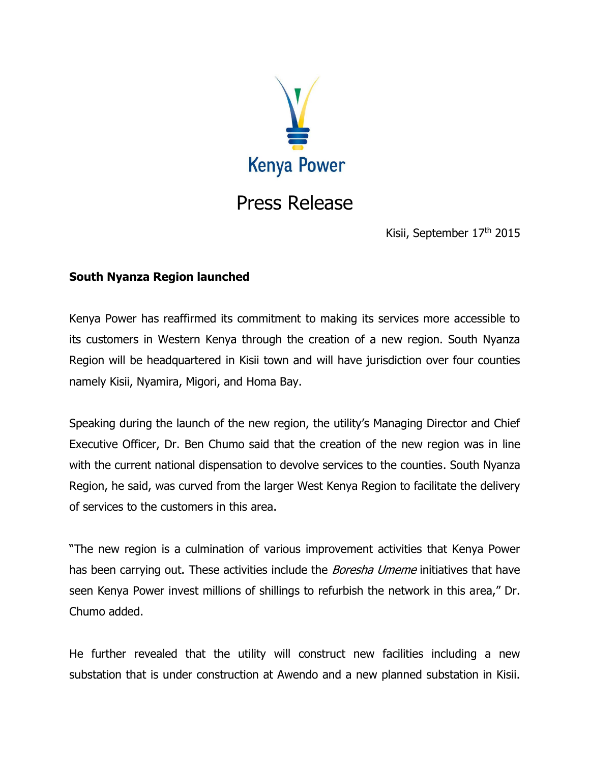

## Press Release

Kisii, September 17<sup>th</sup> 2015

## **South Nyanza Region launched**

Kenya Power has reaffirmed its commitment to making its services more accessible to its customers in Western Kenya through the creation of a new region. South Nyanza Region will be headquartered in Kisii town and will have jurisdiction over four counties namely Kisii, Nyamira, Migori, and Homa Bay.

Speaking during the launch of the new region, the utility's Managing Director and Chief Executive Officer, Dr. Ben Chumo said that the creation of the new region was in line with the current national dispensation to devolve services to the counties. South Nyanza Region, he said, was curved from the larger West Kenya Region to facilitate the delivery of services to the customers in this area.

"The new region is a culmination of various improvement activities that Kenya Power has been carrying out. These activities include the Boresha Umeme initiatives that have seen Kenya Power invest millions of shillings to refurbish the network in this area," Dr. Chumo added.

He further revealed that the utility will construct new facilities including a new substation that is under construction at Awendo and a new planned substation in Kisii.